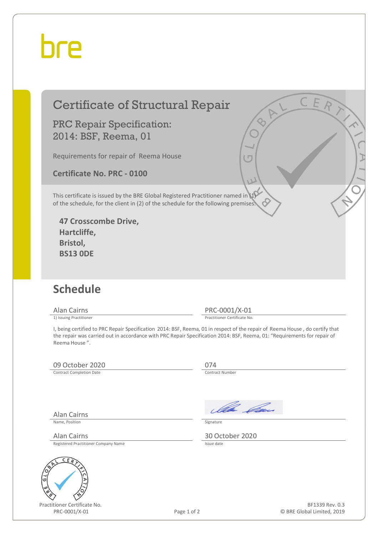## hre

### Certificate of Structural Repair

PRC Repair Specification: 2014: BSF, Reema, 01

Requirements for repair of Reema House

**Certificate No. PRC - 0100** 

This certificate is issued by the BRE Global Registered Practitioner named in (1) of the schedule, for the client in (2) of the schedule for the following premises:

**47 Crosscombe Drive, Hartcliffe, Bristol, BS13 0DE** 

#### **Schedule**

Alan Cairns PRC-0001/X-01<br>
1) Issuing Practitioner<br>
Practitioner Certificate No

Practitioner Certificate No.

I, being certified to PRC Repair Specification 2014: BSF, Reema, 01 in respect of the repair of Reema House , do certify that the repair was carried out in accordance with PRC Repair Specification 2014: BSF, Reema, 01: "Requirements for repair of Reema House ".

#### 09 October 2020 074<br>
Contract Completion Date

Contract Completion Date

Ila *Da*n

Name, Position Signature

Alan Cairns 30 October 2020

Registered Practitioner Company Name

Alan Cairns



Practitioner Certificate No. PRC-0001/X-01 Page 1 of 2